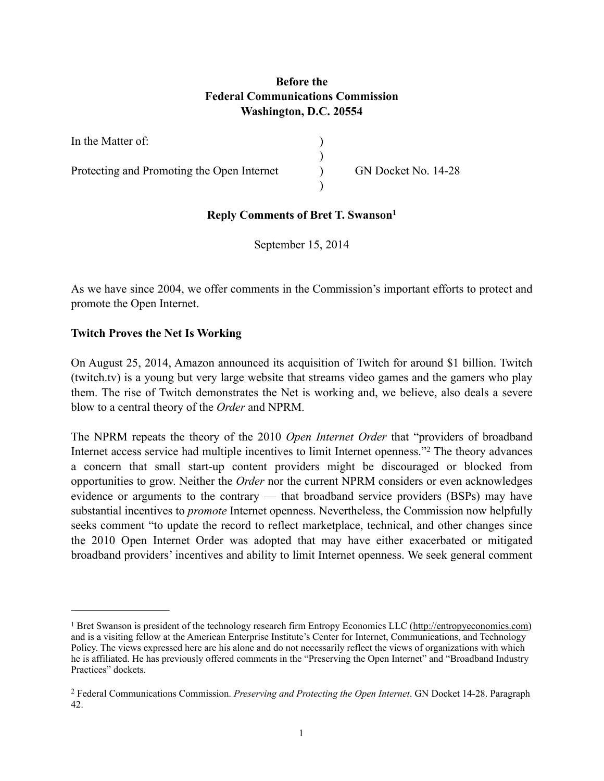# **Before the Federal Communications Commission Washington, D.C. 20554**

| In the Matter of:                          |                     |
|--------------------------------------------|---------------------|
| Protecting and Promoting the Open Internet | GN Docket No. 14-28 |

# **Reply Comments of Bret T. Swanson1**

September 15, 2014

As we have since 2004, we offer comments in the Commission's important efforts to protect and promote the Open Internet.

#### **Twitch Proves the Net Is Working**

On August 25, 2014, Amazon announced its acquisition of Twitch for around \$1 billion. Twitch (twitch.tv) is a young but very large website that streams video games and the gamers who play them. The rise of Twitch demonstrates the Net is working and, we believe, also deals a severe blow to a central theory of the *Order* and NPRM.

The NPRM repeats the theory of the 2010 *Open Internet Order* that "providers of broadband Internet access service had multiple incentives to limit Internet openness."<sup>2</sup> The theory advances a concern that small start-up content providers might be discouraged or blocked from opportunities to grow. Neither the *Order* nor the current NPRM considers or even acknowledges evidence or arguments to the contrary — that broadband service providers (BSPs) may have substantial incentives to *promote* Internet openness. Nevertheless, the Commission now helpfully seeks comment "to update the record to reflect marketplace, technical, and other changes since the 2010 Open Internet Order was adopted that may have either exacerbated or mitigated broadband providers' incentives and ability to limit Internet openness. We seek general comment

<sup>&</sup>lt;sup>1</sup> Bret Swanson is president of the technology research firm Entropy Economics LLC ([http://entropyeconomics.com\)](http://entropyeconomics.com) and is a visiting fellow at the American Enterprise Institute's Center for Internet, Communications, and Technology Policy. The views expressed here are his alone and do not necessarily reflect the views of organizations with which he is affiliated. He has previously offered comments in the "Preserving the Open Internet" and "Broadband Industry Practices" dockets.

Federal Communications Commission. *Preserving and Protecting the Open Internet*. GN Docket 14-28. Paragraph 2 42.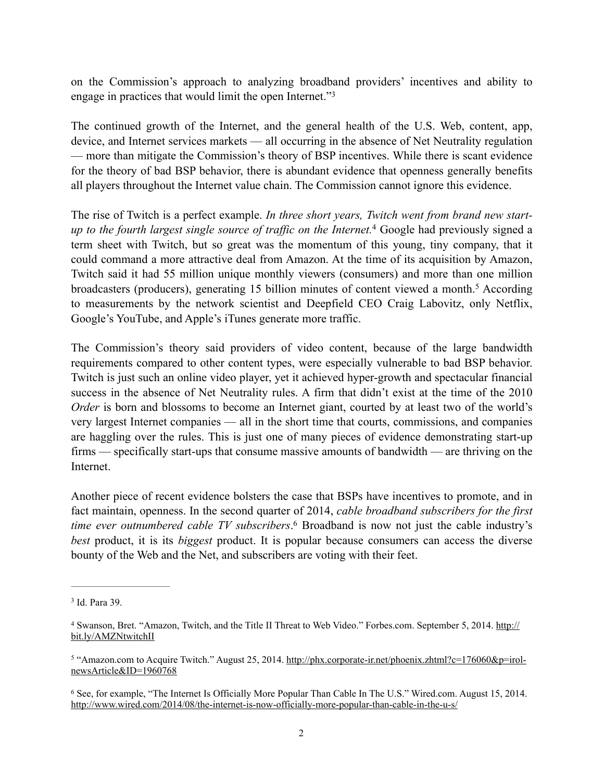on the Commission's approach to analyzing broadband providers' incentives and ability to engage in practices that would limit the open Internet."3

The continued growth of the Internet, and the general health of the U.S. Web, content, app, device, and Internet services markets — all occurring in the absence of Net Neutrality regulation — more than mitigate the Commission's theory of BSP incentives. While there is scant evidence for the theory of bad BSP behavior, there is abundant evidence that openness generally benefits all players throughout the Internet value chain. The Commission cannot ignore this evidence.

The rise of Twitch is a perfect example. *In three short years, Twitch went from brand new startup to the fourth largest single source of traffic on the Internet.* Google had previously signed a 4 term sheet with Twitch, but so great was the momentum of this young, tiny company, that it could command a more attractive deal from Amazon. At the time of its acquisition by Amazon, Twitch said it had 55 million unique monthly viewers (consumers) and more than one million broadcasters (producers), generating 15 billion minutes of content viewed a month.<sup>5</sup> According to measurements by the network scientist and Deepfield CEO Craig Labovitz, only Netflix, Google's YouTube, and Apple's iTunes generate more traffic.

The Commission's theory said providers of video content, because of the large bandwidth requirements compared to other content types, were especially vulnerable to bad BSP behavior. Twitch is just such an online video player, yet it achieved hyper-growth and spectacular financial success in the absence of Net Neutrality rules. A firm that didn't exist at the time of the 2010 *Order* is born and blossoms to become an Internet giant, courted by at least two of the world's very largest Internet companies — all in the short time that courts, commissions, and companies are haggling over the rules. This is just one of many pieces of evidence demonstrating start-up firms — specifically start-ups that consume massive amounts of bandwidth — are thriving on the Internet.

Another piece of recent evidence bolsters the case that BSPs have incentives to promote, and in fact maintain, openness. In the second quarter of 2014, *cable broadband subscribers for the first time ever outnumbered cable TV subscribers*.<sup>6</sup> Broadband is now not just the cable industry's *best* product, it is its *biggest* product. It is popular because consumers can access the diverse bounty of the Web and the Net, and subscribers are voting with their feet.

<sup>&</sup>lt;sup>3</sup> Id. Para 39.

[Swanson, Bret. "Amazon, Twitch, and the Title II Threat to Web Video." Forbes.com. September 5, 2014. http://](http://bit.ly/AMZNtwitchII) <sup>4</sup> bit.ly/AMZNtwitchII

<sup>&</sup>lt;sup>5</sup> ["Amazon.com to Acquire Twitch." August 25, 2014. http://phx.corporate-ir.net/phoenix.zhtml?c=176060&p=irol](http://phx.corporate-ir.net/phoenix.zhtml?c=176060&p=irol-newsArticle&ID=1960768) newsArticle&ID=1960768

<sup>&</sup>lt;sup>6</sup> See, for example, "The Internet Is Officially More Popular Than Cable In The U.S." Wired.com. August 15, 2014. <http://www.wired.com/2014/08/the-internet-is-now-officially-more-popular-than-cable-in-the-u-s/>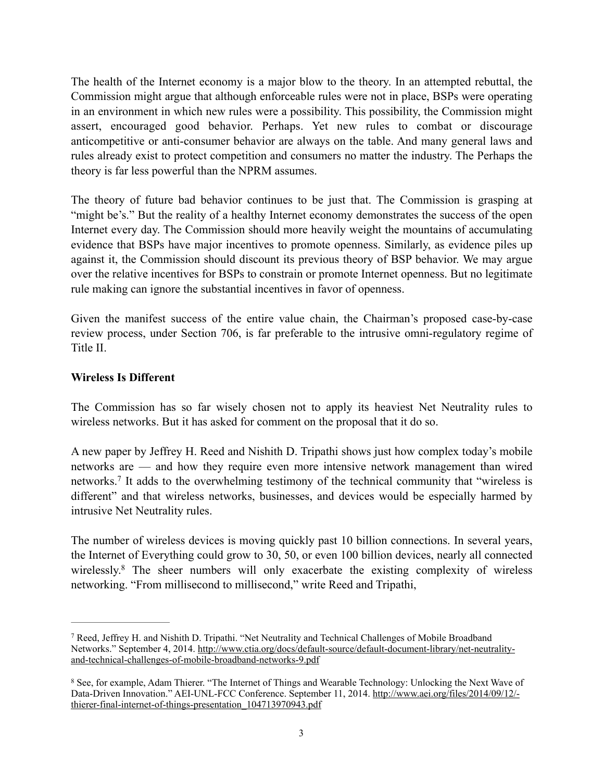The health of the Internet economy is a major blow to the theory. In an attempted rebuttal, the Commission might argue that although enforceable rules were not in place, BSPs were operating in an environment in which new rules were a possibility. This possibility, the Commission might assert, encouraged good behavior. Perhaps. Yet new rules to combat or discourage anticompetitive or anti-consumer behavior are always on the table. And many general laws and rules already exist to protect competition and consumers no matter the industry. The Perhaps the theory is far less powerful than the NPRM assumes.

The theory of future bad behavior continues to be just that. The Commission is grasping at "might be's." But the reality of a healthy Internet economy demonstrates the success of the open Internet every day. The Commission should more heavily weight the mountains of accumulating evidence that BSPs have major incentives to promote openness. Similarly, as evidence piles up against it, the Commission should discount its previous theory of BSP behavior. We may argue over the relative incentives for BSPs to constrain or promote Internet openness. But no legitimate rule making can ignore the substantial incentives in favor of openness.

Given the manifest success of the entire value chain, the Chairman's proposed case-by-case review process, under Section 706, is far preferable to the intrusive omni-regulatory regime of Title II.

### **Wireless Is Different**

The Commission has so far wisely chosen not to apply its heaviest Net Neutrality rules to wireless networks. But it has asked for comment on the proposal that it do so.

A new paper by Jeffrey H. Reed and Nishith D. Tripathi shows just how complex today's mobile networks are — and how they require even more intensive network management than wired networks.<sup>7</sup> It adds to the overwhelming testimony of the technical community that "wireless is different" and that wireless networks, businesses, and devices would be especially harmed by intrusive Net Neutrality rules.

The number of wireless devices is moving quickly past 10 billion connections. In several years, the Internet of Everything could grow to 30, 50, or even 100 billion devices, nearly all connected wirelessly.<sup>8</sup> The sheer numbers will only exacerbate the existing complexity of wireless networking. "From millisecond to millisecond," write Reed and Tripathi,

Reed, Jeffrey H. and Nishith D. Tripathi. "Net Neutrality and Technical Challenges of Mobile Broadband 7 [Networks." September 4, 2014. http://www.ctia.org/docs/default-source/default-document-library/net-neutrality](http://www.ctia.org/docs/default-source/default-document-library/net-neutrality-and-technical-challenges-of-mobile-broadband-networks-9.pdf)and-technical-challenges-of-mobile-broadband-networks-9.pdf

<sup>&</sup>lt;sup>8</sup> See, for example, Adam Thierer. "The Internet of Things and Wearable Technology: Unlocking the Next Wave of [Data-Driven Innovation." AEI-UNL-FCC Conference. September 11, 2014. http://www.aei.org/files/2014/09/12/](http://www.aei.org/files/2014/09/12/-thierer-final-internet-of-things-presentation_104713970943.pdf) thierer-final-internet-of-things-presentation\_104713970943.pdf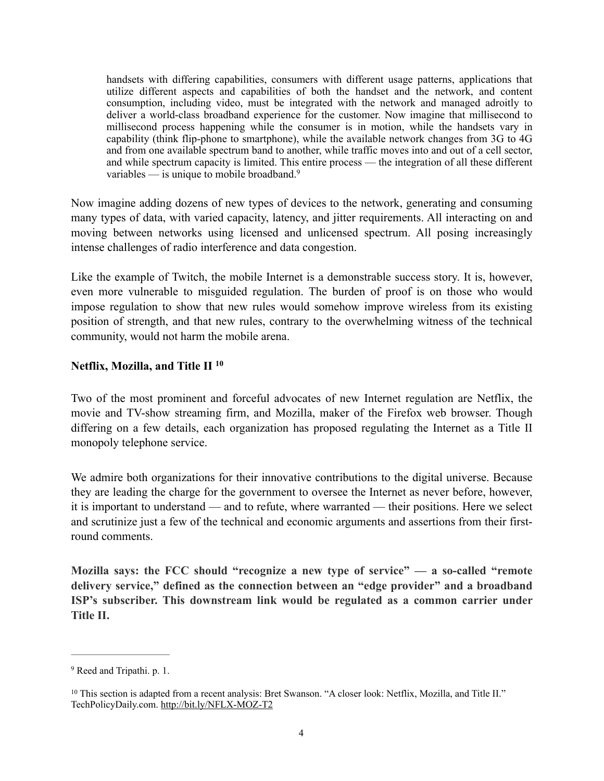handsets with differing capabilities, consumers with different usage patterns, applications that utilize different aspects and capabilities of both the handset and the network, and content consumption, including video, must be integrated with the network and managed adroitly to deliver a world-class broadband experience for the customer. Now imagine that millisecond to millisecond process happening while the consumer is in motion, while the handsets vary in capability (think flip-phone to smartphone), while the available network changes from 3G to 4G and from one available spectrum band to another, while traffic moves into and out of a cell sector, and while spectrum capacity is limited. This entire process — the integration of all these different variables — is unique to mobile broadband.<sup>9</sup>

Now imagine adding dozens of new types of devices to the network, generating and consuming many types of data, with varied capacity, latency, and jitter requirements. All interacting on and moving between networks using licensed and unlicensed spectrum. All posing increasingly intense challenges of radio interference and data congestion.

Like the example of Twitch, the mobile Internet is a demonstrable success story. It is, however, even more vulnerable to misguided regulation. The burden of proof is on those who would impose regulation to show that new rules would somehow improve wireless from its existing position of strength, and that new rules, contrary to the overwhelming witness of the technical community, would not harm the mobile arena.

#### **Netflix, Mozilla, and Title II 10**

Two of the most prominent and forceful advocates of new Internet regulation are Netflix, the movie and TV-show streaming firm, and Mozilla, maker of the Firefox web browser. Though differing on a few details, each organization has proposed regulating the Internet as a Title II monopoly telephone service.

We admire both organizations for their innovative contributions to the digital universe. Because they are leading the charge for the government to oversee the Internet as never before, however, it is important to understand — and to refute, where warranted — their positions. Here we select and scrutinize just a few of the technical and economic arguments and assertions from their firstround comments.

**Mozilla says: the FCC should "recognize a new type of service" — a so-called "remote delivery service," defined as the connection between an "edge provider" and a broadband ISP's subscriber. This downstream link would be regulated as a common carrier under Title II.**

<sup>&</sup>lt;sup>9</sup> Reed and Tripathi. p. 1.

<sup>&</sup>lt;sup>10</sup> This section is adapted from a recent analysis: Bret Swanson. "A closer look: Netflix, Mozilla, and Title II." TechPolicyDaily.com.<http://bit.ly/NFLX-MOZ-T2>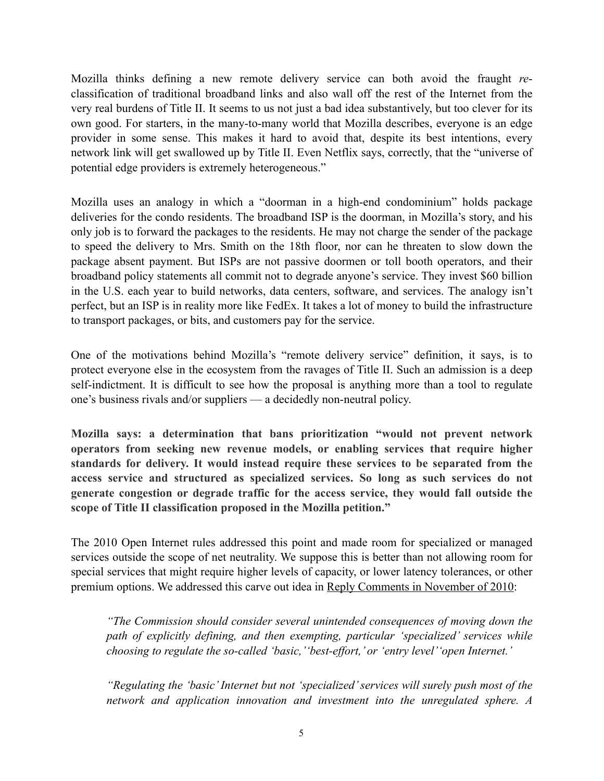Mozilla thinks defining a new remote delivery service can both avoid the fraught *re*classification of traditional broadband links and also wall off the rest of the Internet from the very real burdens of Title II. It seems to us not just a bad idea substantively, but too clever for its own good. For starters, in the many-to-many world that Mozilla describes, everyone is an edge provider in some sense. This makes it hard to avoid that, despite its best intentions, every network link will get swallowed up by Title II. Even Netflix says, correctly, that the "universe of potential edge providers is extremely heterogeneous."

Mozilla uses an analogy in which a "doorman in a high-end condominium" holds package deliveries for the condo residents. The broadband ISP is the doorman, in Mozilla's story, and his only job is to forward the packages to the residents. He may not charge the sender of the package to speed the delivery to Mrs. Smith on the 18th floor, nor can he threaten to slow down the package absent payment. But ISPs are not passive doormen or toll booth operators, and their broadband policy statements all commit not to degrade anyone's service. They invest \$60 billion in the U.S. each year to build networks, data centers, software, and services. The analogy isn't perfect, but an ISP is in reality more like FedEx. It takes a lot of money to build the infrastructure to transport packages, or bits, and customers pay for the service.

One of the motivations behind Mozilla's "remote delivery service" definition, it says, is to protect everyone else in the ecosystem from the ravages of Title II. Such an admission is a deep self-indictment. It is difficult to see how the proposal is anything more than a tool to regulate one's business rivals and/or suppliers — a decidedly non-neutral policy.

**Mozilla says: a determination that bans prioritization "would not prevent network operators from seeking new revenue models, or enabling services that require higher standards for delivery. It would instead require these services to be separated from the access service and structured as specialized services. So long as such services do not generate congestion or degrade traffic for the access service, they would fall outside the scope of Title II classification proposed in the Mozilla petition."**

The 2010 Open Internet rules addressed this point and made room for specialized or managed services outside the scope of net neutrality. We suppose this is better than not allowing room for special services that might require higher levels of capacity, or lower latency tolerances, or other premium options. We addressed this carve out idea in [Reply Comments in November of 2010](http://bit.ly/1hKulOB):

*"The Commission should consider several unintended consequences of moving down the path of explicitly defining, and then exempting, particular 'specialized' services while choosing to regulate the so-called 'basic,''best-effort,' or 'entry level''open Internet.'* 

*"Regulating the 'basic' Internet but not 'specialized' services will surely push most of the network and application innovation and investment into the unregulated sphere. A*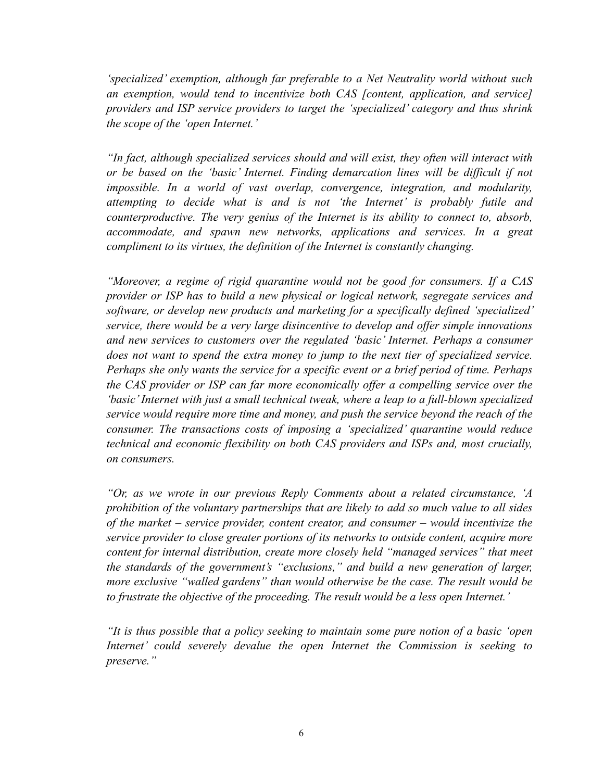*'specialized' exemption, although far preferable to a Net Neutrality world without such an exemption, would tend to incentivize both CAS [content, application, and service] providers and ISP service providers to target the 'specialized' category and thus shrink the scope of the 'open Internet.'* 

*"In fact, although specialized services should and will exist, they often will interact with or be based on the 'basic' Internet. Finding demarcation lines will be difficult if not impossible. In a world of vast overlap, convergence, integration, and modularity, attempting to decide what is and is not 'the Internet' is probably futile and counterproductive. The very genius of the Internet is its ability to connect to, absorb, accommodate, and spawn new networks, applications and services. In a great compliment to its virtues, the definition of the Internet is constantly changing.* 

*"Moreover, a regime of rigid quarantine would not be good for consumers. If a CAS provider or ISP has to build a new physical or logical network, segregate services and software, or develop new products and marketing for a specifically defined 'specialized' service, there would be a very large disincentive to develop and offer simple innovations and new services to customers over the regulated 'basic' Internet. Perhaps a consumer does not want to spend the extra money to jump to the next tier of specialized service. Perhaps she only wants the service for a specific event or a brief period of time. Perhaps the CAS provider or ISP can far more economically offer a compelling service over the 'basic' Internet with just a small technical tweak, where a leap to a full-blown specialized service would require more time and money, and push the service beyond the reach of the consumer. The transactions costs of imposing a 'specialized' quarantine would reduce technical and economic flexibility on both CAS providers and ISPs and, most crucially, on consumers.* 

*"Or, as we wrote in our previous Reply Comments about a related circumstance, 'A prohibition of the voluntary partnerships that are likely to add so much value to all sides of the market – service provider, content creator, and consumer – would incentivize the service provider to close greater portions of its networks to outside content, acquire more content for internal distribution, create more closely held "managed services" that meet the standards of the government's "exclusions," and build a new generation of larger, more exclusive "walled gardens" than would otherwise be the case. The result would be to frustrate the objective of the proceeding. The result would be a less open Internet.'* 

*"It is thus possible that a policy seeking to maintain some pure notion of a basic 'open Internet' could severely devalue the open Internet the Commission is seeking to preserve."*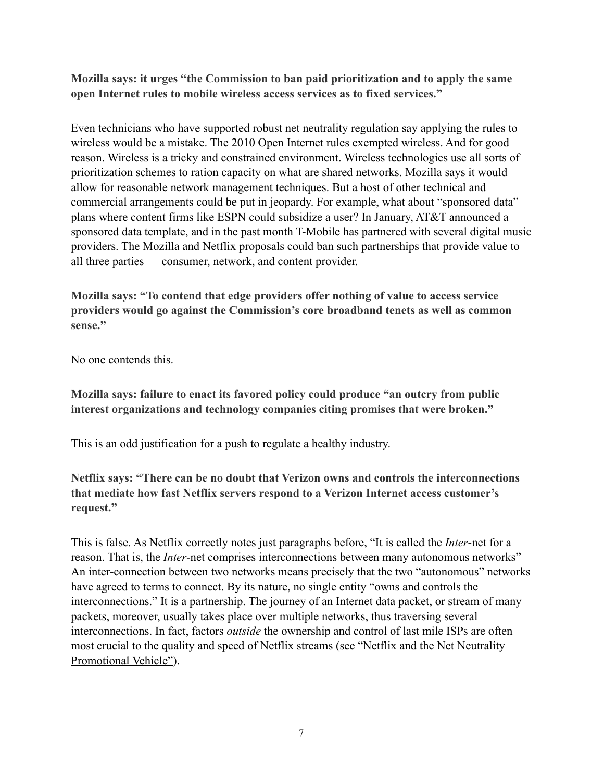**Mozilla says: it urges "the Commission to ban paid prioritization and to apply the same open Internet rules to mobile wireless access services as to fixed services."**

Even technicians who have supported robust net neutrality regulation say applying the rules to wireless would be a mistake. The 2010 Open Internet rules exempted wireless. And for good reason. Wireless is a tricky and constrained environment. Wireless technologies use all sorts of prioritization schemes to ration capacity on what are shared networks. Mozilla says it would allow for reasonable network management techniques. But a host of other technical and commercial arrangements could be put in jeopardy. For example, what about "sponsored data" plans where content firms like ESPN could subsidize a user? In January, AT&T announced a sponsored data template, and in the past month T-Mobile has partnered with several digital music providers. The Mozilla and Netflix proposals could ban such partnerships that provide value to all three parties — consumer, network, and content provider.

**Mozilla says: "To contend that edge providers offer nothing of value to access service providers would go against the Commission's core broadband tenets as well as common sense."**

No one contends this.

**Mozilla says: failure to enact its favored policy could produce "an outcry from public interest organizations and technology companies citing promises that were broken."**

This is an odd justification for a push to regulate a healthy industry.

**Netflix says: "There can be no doubt that Verizon owns and controls the interconnections that mediate how fast Netflix servers respond to a Verizon Internet access customer's request."**

This is false. As Netflix correctly notes just paragraphs before, "It is called the *Inter*-net for a reason. That is, the *Inter*-net comprises interconnections between many autonomous networks" An inter-connection between two networks means precisely that the two "autonomous" networks have agreed to terms to connect. By its nature, no single entity "owns and controls the interconnections." It is a partnership. The journey of an Internet data packet, or stream of many packets, moreover, usually takes place over multiple networks, thus traversing several interconnections. In fact, factors *outside* the ownership and control of last mile ISPs are often [most crucial to the quality and speed of Netflix streams \(see "Netflix and the Net Neutrality](http://onforb.es/1rH7vsl)  Promotional Vehicle").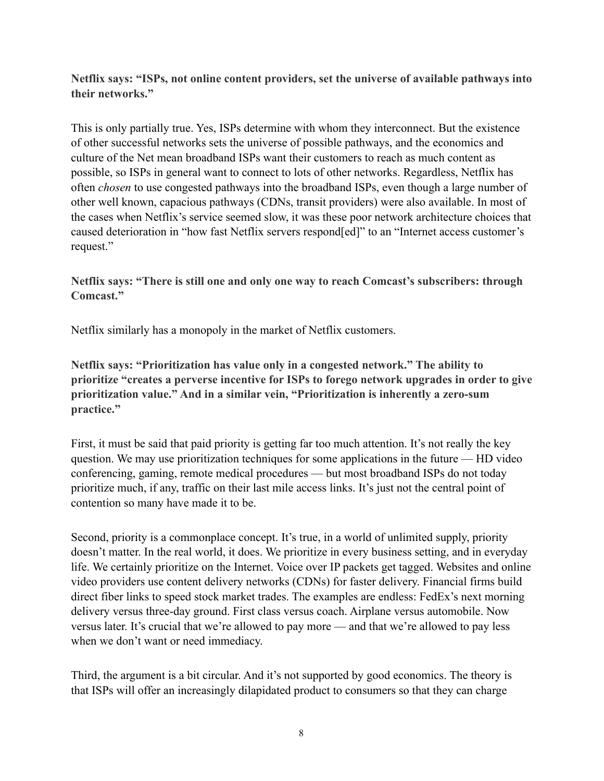**Netflix says: "ISPs, not online content providers, set the universe of available pathways into their networks."**

This is only partially true. Yes, ISPs determine with whom they interconnect. But the existence of other successful networks sets the universe of possible pathways, and the economics and culture of the Net mean broadband ISPs want their customers to reach as much content as possible, so ISPs in general want to connect to lots of other networks. Regardless, Netflix has often *chosen* to use congested pathways into the broadband ISPs, even though a large number of other well known, capacious pathways (CDNs, transit providers) were also available. In most of the cases when Netflix's service seemed slow, it was these poor network architecture choices that caused deterioration in "how fast Netflix servers respond[ed]" to an "Internet access customer's request."

**Netflix says: "There is still one and only one way to reach Comcast's subscribers: through Comcast."**

Netflix similarly has a monopoly in the market of Netflix customers.

**Netflix says: "Prioritization has value only in a congested network." The ability to prioritize "creates a perverse incentive for ISPs to forego network upgrades in order to give prioritization value." And in a similar vein, "Prioritization is inherently a zero-sum practice."**

First, it must be said that paid priority is getting far too much attention. It's not really the key question. We may use prioritization techniques for some applications in the future — HD video conferencing, gaming, remote medical procedures — but most broadband ISPs do not today prioritize much, if any, traffic on their last mile access links. It's just not the central point of contention so many have made it to be.

Second, priority is a commonplace concept. It's true, in a world of unlimited supply, priority doesn't matter. In the real world, it does. We prioritize in every business setting, and in everyday life. We certainly prioritize on the Internet. Voice over IP packets get tagged. Websites and online video providers use content delivery networks (CDNs) for faster delivery. Financial firms build direct fiber links to speed stock market trades. The examples are endless: FedEx's next morning delivery versus three-day ground. First class versus coach. Airplane versus automobile. Now versus later. It's crucial that we're allowed to pay more — and that we're allowed to pay less when we don't want or need immediacy.

Third, the argument is a bit circular. And it's not supported by good economics. The theory is that ISPs will offer an increasingly dilapidated product to consumers so that they can charge